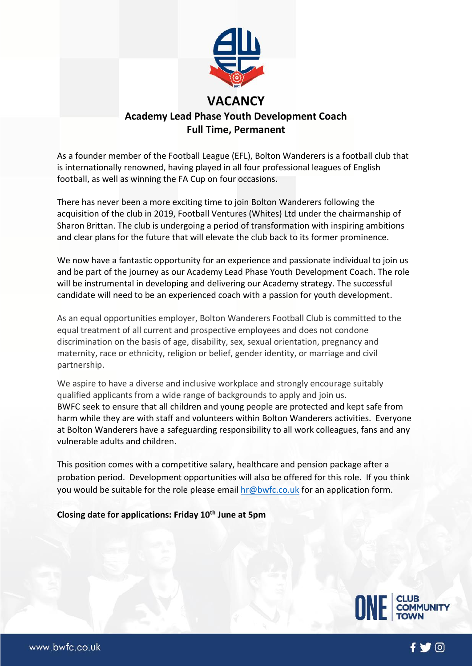

As a founder member of the Football League (EFL), Bolton Wanderers is a football club that is internationally renowned, having played in all four professional leagues of English football, as well as winning the FA Cup on four occasions.

There has never been a more exciting time to join Bolton Wanderers following the acquisition of the club in 2019, Football Ventures (Whites) Ltd under the chairmanship of Sharon Brittan. The club is undergoing a period of transformation with inspiring ambitions and clear plans for the future that will elevate the club back to its former prominence.

We now have a fantastic opportunity for an experience and passionate individual to join us and be part of the journey as our Academy Lead Phase Youth Development Coach. The role will be instrumental in developing and delivering our Academy strategy. The successful candidate will need to be an experienced coach with a passion for youth development.

As an equal opportunities employer, Bolton Wanderers Football Club is committed to the equal treatment of all current and prospective employees and does not condone discrimination on the basis of age, disability, sex, sexual orientation, pregnancy and maternity, race or ethnicity, religion or belief, gender identity, or marriage and civil partnership.

We aspire to have a diverse and inclusive workplace and strongly encourage suitably qualified applicants from a wide range of backgrounds to apply and join us. BWFC seek to ensure that all children and young people are protected and kept safe from harm while they are with staff and volunteers within Bolton Wanderers activities. Everyone at Bolton Wanderers have a safeguarding responsibility to all work colleagues, fans and any vulnerable adults and children.

This position comes with a competitive salary, healthcare and pension package after a probation period. Development opportunities will also be offered for this role. If you think you would be suitable for the role please email [hr@bwfc.co.uk](mailto:hr@bwfc.co.uk) for an application form.

### **Closing date for applications: Friday 10th June at 5pm**



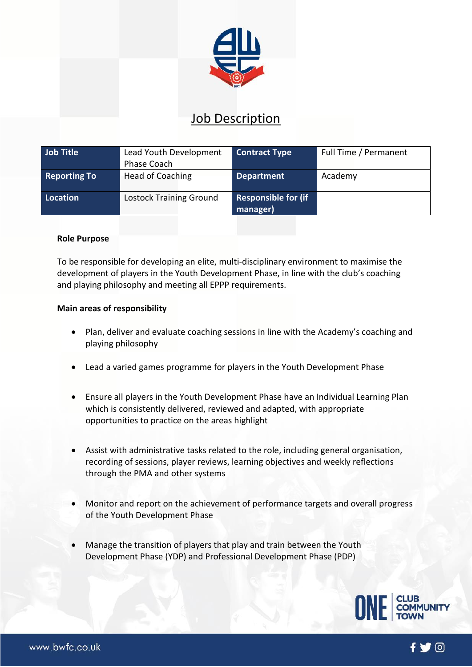

# Job Description

| Job Title           | Lead Youth Development<br>Phase Coach | <b>Contract Type</b>            | Full Time / Permanent |
|---------------------|---------------------------------------|---------------------------------|-----------------------|
| <b>Reporting To</b> | Head of Coaching                      | <b>Department</b>               | Academy               |
| Location            | <b>Lostock Training Ground</b>        | Responsible for (if<br>manager) |                       |

### **Role Purpose**

To be responsible for developing an elite, multi-disciplinary environment to maximise the development of players in the Youth Development Phase, in line with the club's coaching and playing philosophy and meeting all EPPP requirements.

#### **Main areas of responsibility**

- Plan, deliver and evaluate coaching sessions in line with the Academy's coaching and playing philosophy
- Lead a varied games programme for players in the Youth Development Phase
- Ensure all players in the Youth Development Phase have an Individual Learning Plan which is consistently delivered, reviewed and adapted, with appropriate opportunities to practice on the areas highlight
- Assist with administrative tasks related to the role, including general organisation, recording of sessions, player reviews, learning objectives and weekly reflections through the PMA and other systems
- Monitor and report on the achievement of performance targets and overall progress of the Youth Development Phase
- Manage the transition of players that play and train between the Youth Development Phase (YDP) and Professional Development Phase (PDP)



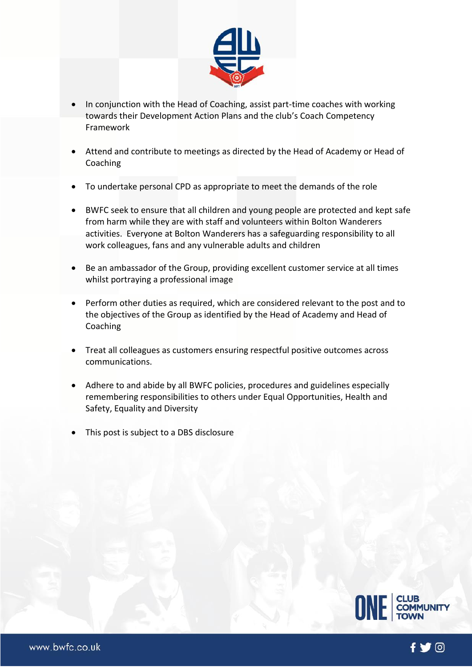

- In conjunction with the Head of Coaching, assist part-time coaches with working towards their Development Action Plans and the club's Coach Competency Framework
- Attend and contribute to meetings as directed by the Head of Academy or Head of Coaching
- To undertake personal CPD as appropriate to meet the demands of the role
- BWFC seek to ensure that all children and young people are protected and kept safe from harm while they are with staff and volunteers within Bolton Wanderers activities. Everyone at Bolton Wanderers has a safeguarding responsibility to all work colleagues, fans and any vulnerable adults and children
- Be an ambassador of the Group, providing excellent customer service at all times whilst portraying a professional image
- Perform other duties as required, which are considered relevant to the post and to the objectives of the Group as identified by the Head of Academy and Head of Coaching
- Treat all colleagues as customers ensuring respectful positive outcomes across communications.
- Adhere to and abide by all BWFC policies, procedures and guidelines especially remembering responsibilities to others under Equal Opportunities, Health and Safety, Equality and Diversity
- This post is subject to a DBS disclosure